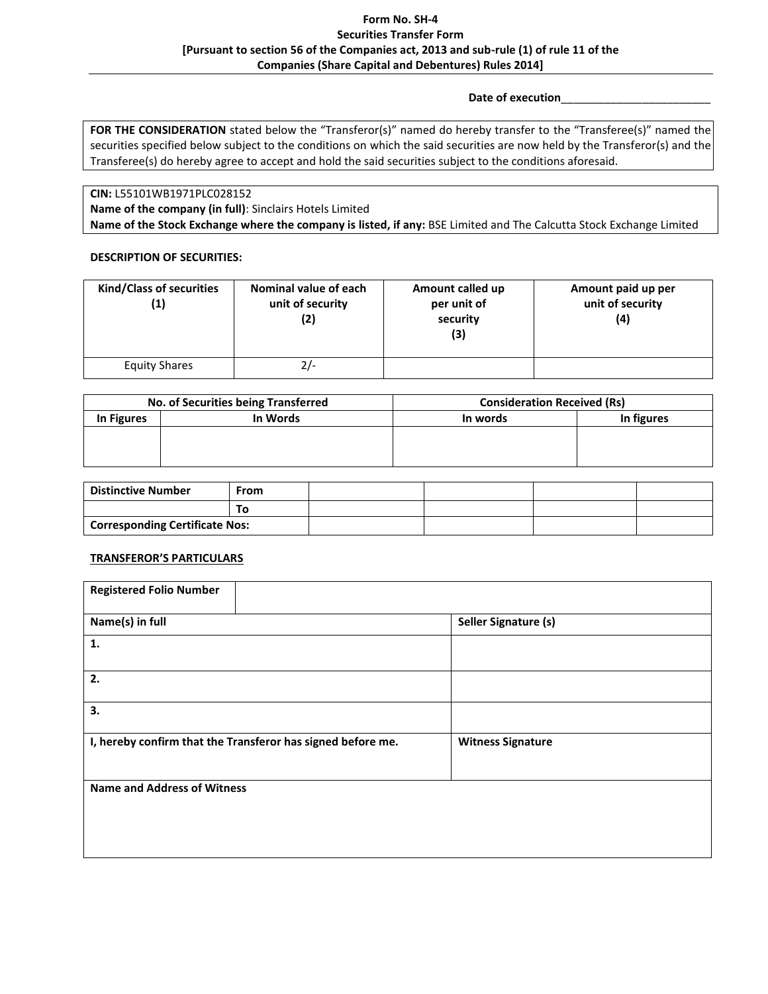# **Form No. SH-4 Securities Transfer Form [Pursuant to section 56 of the Companies act, 2013 and sub-rule (1) of rule 11 of the Companies (Share Capital and Debentures) Rules 2014]**

## **Date of execution**\_\_\_\_\_\_\_\_\_\_\_\_\_\_\_\_\_\_\_\_\_\_\_\_

FOR THE CONSIDERATION stated below the "Transferor(s)" named do hereby transfer to the "Transferee(s)" named the securities specified below subject to the conditions on which the said securities are now held by the Transferor(s) and the Transferee(s) do hereby agree to accept and hold the said securities subject to the conditions aforesaid.

**CIN:** L55101WB1971PLC028152

**Name of the company (in full)**: Sinclairs Hotels Limited

**Name of the Stock Exchange where the company is listed, if any:** BSE Limited and The Calcutta Stock Exchange Limited

# **DESCRIPTION OF SECURITIES:**

| <b>Kind/Class of securities</b><br>(1) | Nominal value of each<br>unit of security<br>(2) | Amount called up<br>per unit of<br>security<br>(3) | Amount paid up per<br>unit of security<br>(4) |
|----------------------------------------|--------------------------------------------------|----------------------------------------------------|-----------------------------------------------|
| Equity Shares                          | $2/-$                                            |                                                    |                                               |

| No. of Securities being Transferred |          | <b>Consideration Received (Rs)</b> |            |
|-------------------------------------|----------|------------------------------------|------------|
| In Figures                          | In Words | In words                           | In figures |
|                                     |          |                                    |            |
|                                     |          |                                    |            |
|                                     |          |                                    |            |

| <b>Distinctive Number</b>             | -rom |  |  |
|---------------------------------------|------|--|--|
|                                       | То   |  |  |
| <b>Corresponding Certificate Nos:</b> |      |  |  |

# **TRANSFEROR'S PARTICULARS**

| <b>Registered Folio Number</b>                              |                          |
|-------------------------------------------------------------|--------------------------|
| Name(s) in full                                             | Seller Signature (s)     |
| 1.                                                          |                          |
| 2.                                                          |                          |
| 3.                                                          |                          |
| I, hereby confirm that the Transferor has signed before me. | <b>Witness Signature</b> |
| <b>Name and Address of Witness</b>                          |                          |
|                                                             |                          |
|                                                             |                          |